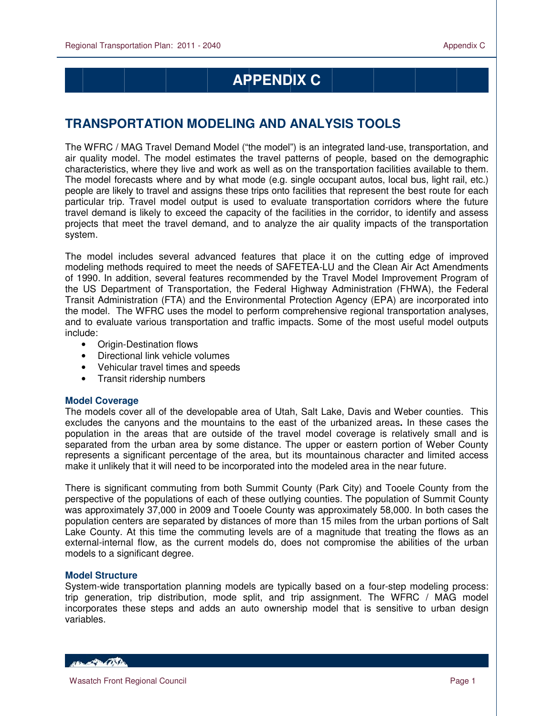# **APPENDIX C**

# **TRANSPORTATION MODELING AND ANALYSIS TOOLS**

The WFRC / MAG Travel Demand Model ("the model") is an integrated land-use, transportation, and air quality model. The model estimates the travel patterns of people, based on the demographic characteristics, where they live and work as well as on the transportation facilities available to them. The model forecasts where and by what mode (e.g. single occupant autos, local bus, light rail, etc.) people are likely to travel and assigns these trips onto facilities that represent the best route for each particular trip. Travel model output is used to evaluate transportation corridors where the future travel demand is likely to exceed the capacity of the facilities in the corridor, to identify and assess projects that meet the travel demand, and to analyze the air quality impacts of the transportation system.

The model includes several advanced features that place it on the cutting edge of improved modeling methods required to meet the needs of SAFETEA-LU and the Clean Air Act Amendments of 1990. In addition, several features recommended by the Travel Model Improvement Program of the US Department of Transportation, the Federal Highway Administration (FHWA), the Federal Transit Administration (FTA) and the Environmental Protection Agency (EPA) are incorporated into the model. The WFRC uses the model to perform comprehensive regional transportation analyses, and to evaluate various transportation and traffic impacts. Some of the most useful model outputs include:

- Origin-Destination flows
- Directional link vehicle volumes
- Vehicular travel times and speeds
- Transit ridership numbers

#### **Model Coverage**

The models cover all of the developable area of Utah, Salt Lake, Davis and Weber counties. This excludes the canyons and the mountains to the east of the urbanized areas**.** In these cases the population in the areas that are outside of the travel model coverage is relatively small and is separated from the urban area by some distance. The upper or eastern portion of Weber County represents a significant percentage of the area, but its mountainous character and limited access make it unlikely that it will need to be incorporated into the modeled area in the near future.

There is significant commuting from both Summit County (Park City) and Tooele County from the perspective of the populations of each of these outlying counties. The population of Summit County was approximately 37,000 in 2009 and Tooele County was approximately 58,000. In both cases the population centers are separated by distances of more than 15 miles from the urban portions of Salt Lake County. At this time the commuting levels are of a magnitude that treating the flows as an external-internal flow, as the current models do, does not compromise the abilities of the urban models to a significant degree.

#### **Model Structure**

System-wide transportation planning models are typically based on a four-step modeling process: trip generation, trip distribution, mode split, and trip assignment. The WFRC / MAG model incorporates these steps and adds an auto ownership model that is sensitive to urban design variables.

**ARCHAMER CONTENT**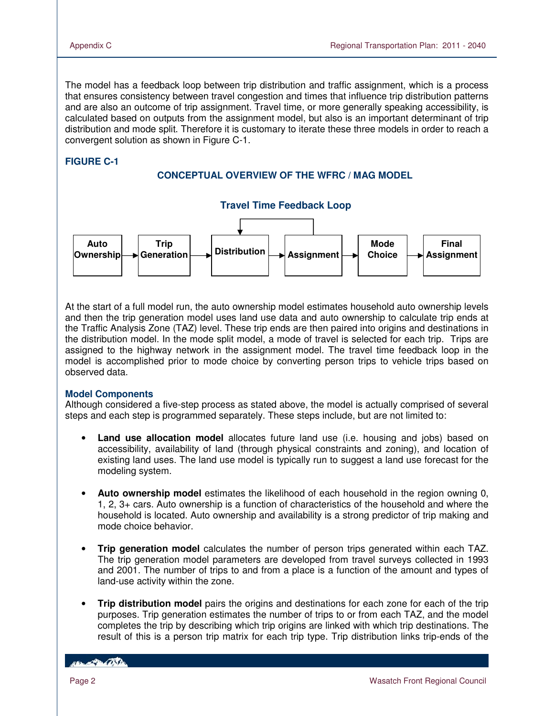The model has a feedback loop between trip distribution and traffic assignment, which is a process that ensures consistency between travel congestion and times that influence trip distribution patterns and are also an outcome of trip assignment. Travel time, or more generally speaking accessibility, is calculated based on outputs from the assignment model, but also is an important determinant of trip distribution and mode split. Therefore it is customary to iterate these three models in order to reach a convergent solution as shown in Figure C-1.

### **FIGURE C-1**

#### **CONCEPTUAL OVERVIEW OF THE WFRC / MAG MODEL**



At the start of a full model run, the auto ownership model estimates household auto ownership levels and then the trip generation model uses land use data and auto ownership to calculate trip ends at the Traffic Analysis Zone (TAZ) level. These trip ends are then paired into origins and destinations in the distribution model. In the mode split model, a mode of travel is selected for each trip. Trips are assigned to the highway network in the assignment model. The travel time feedback loop in the model is accomplished prior to mode choice by converting person trips to vehicle trips based on observed data.

#### **Model Components**

Although considered a five-step process as stated above, the model is actually comprised of several steps and each step is programmed separately. These steps include, but are not limited to:

- **Land use allocation model** allocates future land use (i.e. housing and jobs) based on accessibility, availability of land (through physical constraints and zoning), and location of existing land uses. The land use model is typically run to suggest a land use forecast for the modeling system.
- **Auto ownership model** estimates the likelihood of each household in the region owning 0, 1, 2, 3+ cars. Auto ownership is a function of characteristics of the household and where the household is located. Auto ownership and availability is a strong predictor of trip making and mode choice behavior.
- **Trip generation model** calculates the number of person trips generated within each TAZ. The trip generation model parameters are developed from travel surveys collected in 1993 and 2001. The number of trips to and from a place is a function of the amount and types of land-use activity within the zone.
- **Trip distribution model** pairs the origins and destinations for each zone for each of the trip purposes. Trip generation estimates the number of trips to or from each TAZ, and the model completes the trip by describing which trip origins are linked with which trip destinations. The result of this is a person trip matrix for each trip type. Trip distribution links trip-ends of the

*COLLEGE DE COSTA*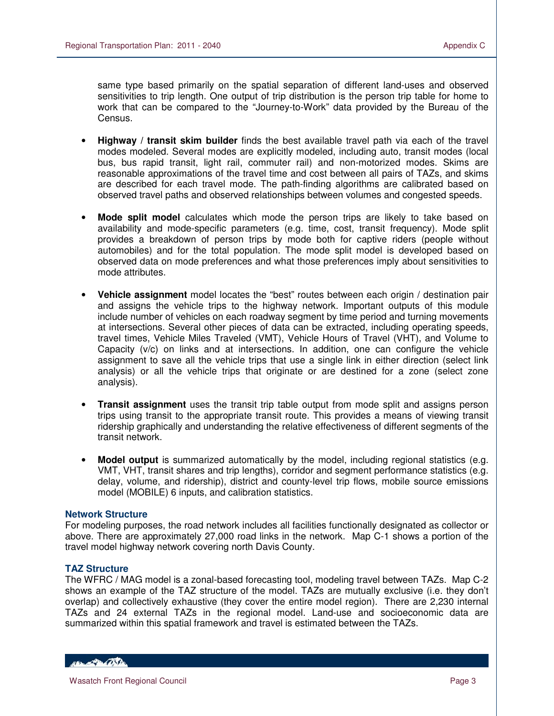same type based primarily on the spatial separation of different land-uses and observed sensitivities to trip length. One output of trip distribution is the person trip table for home to work that can be compared to the "Journey-to-Work" data provided by the Bureau of the Census.

- **Highway / transit skim builder** finds the best available travel path via each of the travel modes modeled. Several modes are explicitly modeled, including auto, transit modes (local bus, bus rapid transit, light rail, commuter rail) and non-motorized modes. Skims are reasonable approximations of the travel time and cost between all pairs of TAZs, and skims are described for each travel mode. The path-finding algorithms are calibrated based on observed travel paths and observed relationships between volumes and congested speeds.
- **Mode split model** calculates which mode the person trips are likely to take based on availability and mode-specific parameters (e.g. time, cost, transit frequency). Mode split provides a breakdown of person trips by mode both for captive riders (people without automobiles) and for the total population. The mode split model is developed based on observed data on mode preferences and what those preferences imply about sensitivities to mode attributes.
- **Vehicle assignment** model locates the "best" routes between each origin / destination pair and assigns the vehicle trips to the highway network. Important outputs of this module include number of vehicles on each roadway segment by time period and turning movements at intersections. Several other pieces of data can be extracted, including operating speeds, travel times, Vehicle Miles Traveled (VMT), Vehicle Hours of Travel (VHT), and Volume to Capacity (v/c) on links and at intersections. In addition, one can configure the vehicle assignment to save all the vehicle trips that use a single link in either direction (select link analysis) or all the vehicle trips that originate or are destined for a zone (select zone analysis).
- **Transit assignment** uses the transit trip table output from mode split and assigns person trips using transit to the appropriate transit route. This provides a means of viewing transit ridership graphically and understanding the relative effectiveness of different segments of the transit network.
- **Model output** is summarized automatically by the model, including regional statistics (e.g. VMT, VHT, transit shares and trip lengths), corridor and segment performance statistics (e.g. delay, volume, and ridership), district and county-level trip flows, mobile source emissions model (MOBILE) 6 inputs, and calibration statistics.

#### **Network Structure**

For modeling purposes, the road network includes all facilities functionally designated as collector or above. There are approximately 27,000 road links in the network. Map C-1 shows a portion of the travel model highway network covering north Davis County.

#### **TAZ Structure**

The WFRC / MAG model is a zonal-based forecasting tool, modeling travel between TAZs. Map C-2 shows an example of the TAZ structure of the model. TAZs are mutually exclusive (i.e. they don't overlap) and collectively exhaustive (they cover the entire model region). There are 2,230 internal TAZs and 24 external TAZs in the regional model. Land-use and socioeconomic data are summarized within this spatial framework and travel is estimated between the TAZs.

HELL POLITIC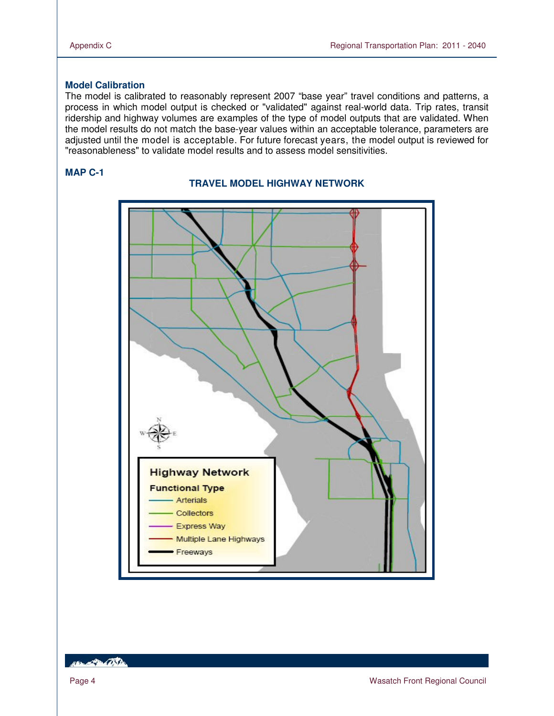### **Model Calibration**

The model is calibrated to reasonably represent 2007 "base year" travel conditions and patterns, a process in which model output is checked or "validated" against real-world data. Trip rates, transit ridership and highway volumes are examples of the type of model outputs that are validated. When the model results do not match the base-year values within an acceptable tolerance, parameters are adjusted until the model is acceptable. For future forecast years, the model output is reviewed for "reasonableness" to validate model results and to assess model sensitivities.

#### **MAP C-1**



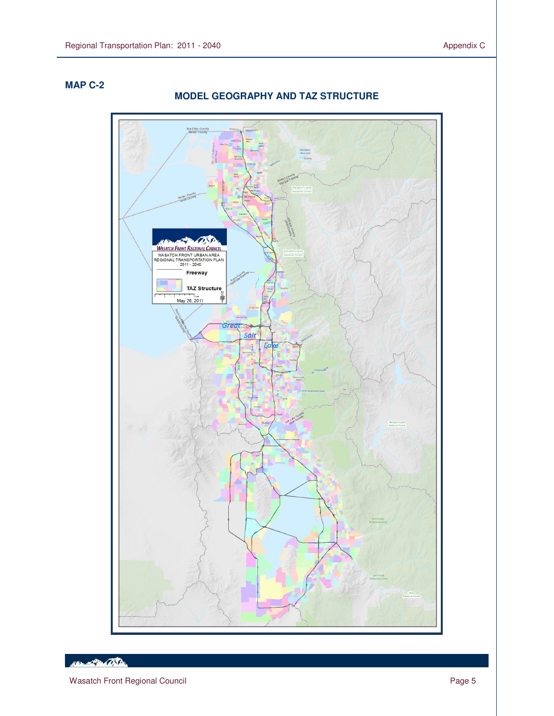## **MAP C-2**

 $\overline{a}$ 

## **MODEL GEOGRAPHY AND TAZ STRUCTURE**



**REDUCTION OF THE CONTRACTOR**